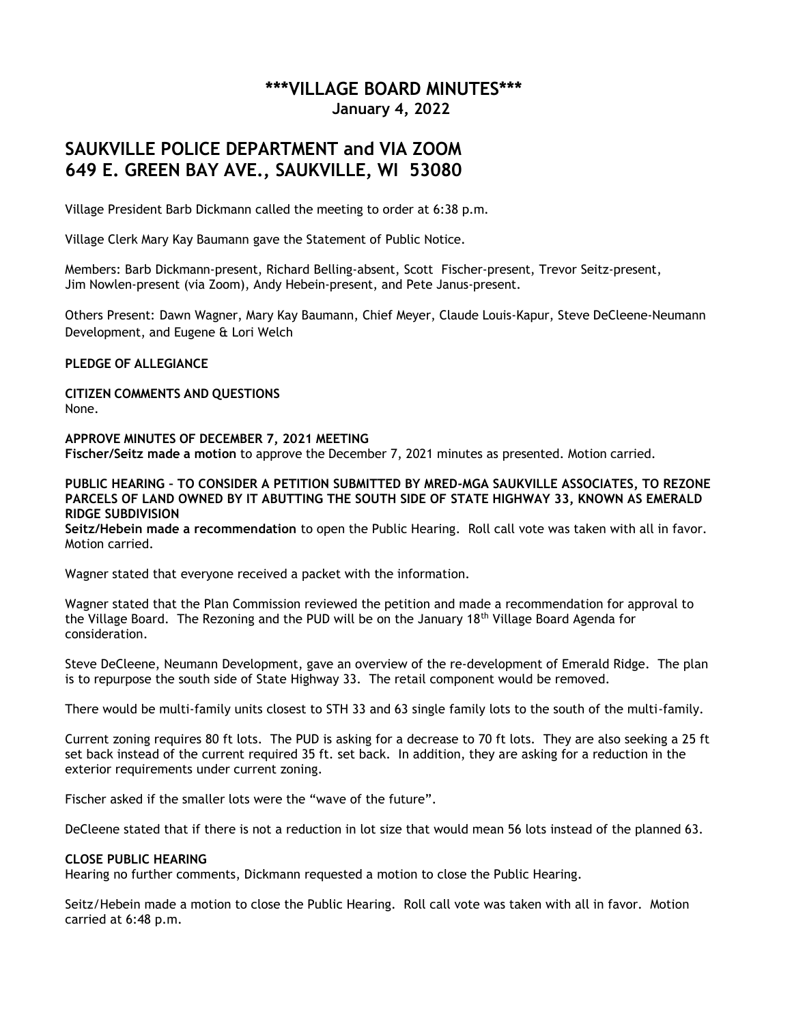## **\*\*\*VILLAGE BOARD MINUTES\*\*\* January 4, 2022**

# **SAUKVILLE POLICE DEPARTMENT and VIA ZOOM 649 E. GREEN BAY AVE., SAUKVILLE, WI 53080**

Village President Barb Dickmann called the meeting to order at 6:38 p.m.

Village Clerk Mary Kay Baumann gave the Statement of Public Notice.

Members: Barb Dickmann-present, Richard Belling-absent, Scott Fischer-present, Trevor Seitz-present, Jim Nowlen-present (via Zoom), Andy Hebein-present, and Pete Janus-present.

Others Present: Dawn Wagner, Mary Kay Baumann, Chief Meyer, Claude Louis-Kapur, Steve DeCleene-Neumann Development, and Eugene & Lori Welch

**PLEDGE OF ALLEGIANCE**

**CITIZEN COMMENTS AND QUESTIONS** None.

**APPROVE MINUTES OF DECEMBER 7, 2021 MEETING Fischer/Seitz made a motion** to approve the December 7, 2021 minutes as presented. Motion carried.

**PUBLIC HEARING – TO CONSIDER A PETITION SUBMITTED BY MRED-MGA SAUKVILLE ASSOCIATES, TO REZONE PARCELS OF LAND OWNED BY IT ABUTTING THE SOUTH SIDE OF STATE HIGHWAY 33, KNOWN AS EMERALD RIDGE SUBDIVISION**

**Seitz/Hebein made a recommendation** to open the Public Hearing. Roll call vote was taken with all in favor. Motion carried.

Wagner stated that everyone received a packet with the information.

Wagner stated that the Plan Commission reviewed the petition and made a recommendation for approval to the Village Board. The Rezoning and the PUD will be on the January 18<sup>th</sup> Village Board Agenda for consideration.

Steve DeCleene, Neumann Development, gave an overview of the re-development of Emerald Ridge. The plan is to repurpose the south side of State Highway 33. The retail component would be removed.

There would be multi-family units closest to STH 33 and 63 single family lots to the south of the multi-family.

Current zoning requires 80 ft lots. The PUD is asking for a decrease to 70 ft lots. They are also seeking a 25 ft set back instead of the current required 35 ft. set back. In addition, they are asking for a reduction in the exterior requirements under current zoning.

Fischer asked if the smaller lots were the "wave of the future".

DeCleene stated that if there is not a reduction in lot size that would mean 56 lots instead of the planned 63.

## **CLOSE PUBLIC HEARING**

Hearing no further comments, Dickmann requested a motion to close the Public Hearing.

Seitz/Hebein made a motion to close the Public Hearing. Roll call vote was taken with all in favor. Motion carried at 6:48 p.m.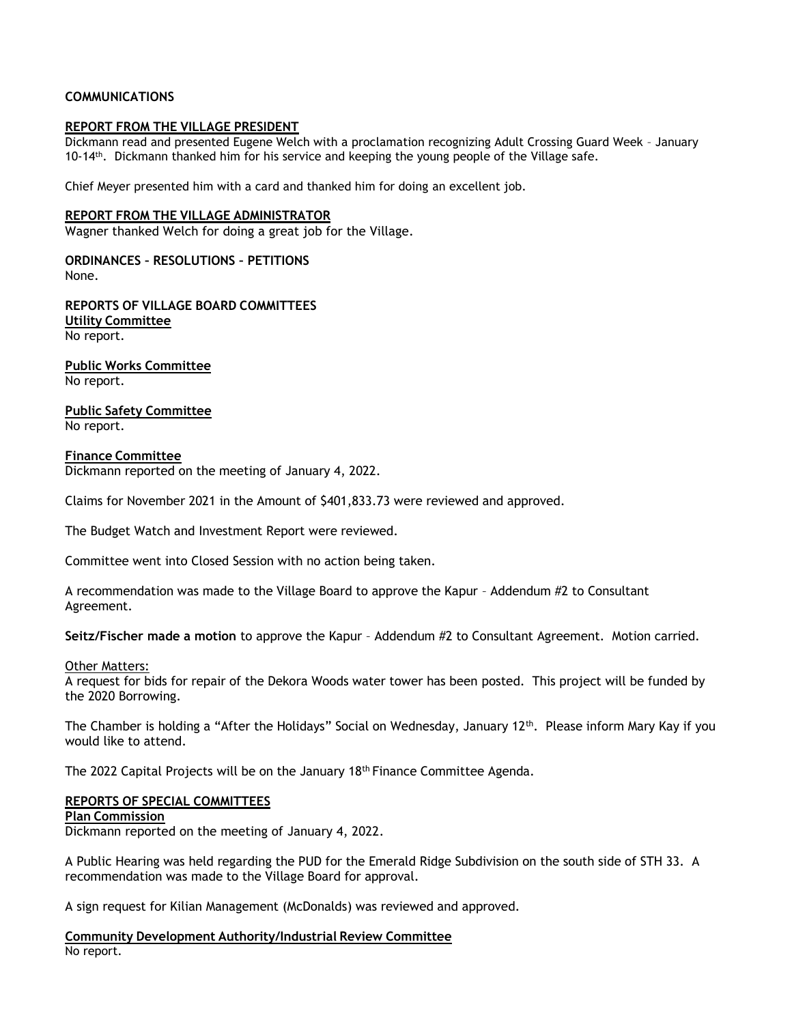## **COMMUNICATIONS**

## **REPORT FROM THE VILLAGE PRESIDENT**

Dickmann read and presented Eugene Welch with a proclamation recognizing Adult Crossing Guard Week – January 10-14<sup>th</sup>. Dickmann thanked him for his service and keeping the young people of the Village safe.

Chief Meyer presented him with a card and thanked him for doing an excellent job.

#### **REPORT FROM THE VILLAGE ADMINISTRATOR**

Wagner thanked Welch for doing a great job for the Village.

**ORDINANCES – RESOLUTIONS – PETITIONS** None.

**REPORTS OF VILLAGE BOARD COMMITTEES Utility Committee** No report.

**Public Works Committee** No report.

**Public Safety Committee** No report.

#### **Finance Committee**

Dickmann reported on the meeting of January 4, 2022.

Claims for November 2021 in the Amount of \$401,833.73 were reviewed and approved.

The Budget Watch and Investment Report were reviewed.

Committee went into Closed Session with no action being taken.

A recommendation was made to the Village Board to approve the Kapur – Addendum #2 to Consultant Agreement.

**Seitz/Fischer made a motion** to approve the Kapur – Addendum #2 to Consultant Agreement. Motion carried.

#### Other Matters:

A request for bids for repair of the Dekora Woods water tower has been posted. This project will be funded by the 2020 Borrowing.

The Chamber is holding a "After the Holidays" Social on Wednesday, January 12th. Please inform Mary Kay if you would like to attend.

The 2022 Capital Projects will be on the January  $18<sup>th</sup>$  Finance Committee Agenda.

## **REPORTS OF SPECIAL COMMITTEES**

#### **Plan Commission**

Dickmann reported on the meeting of January 4, 2022.

A Public Hearing was held regarding the PUD for the Emerald Ridge Subdivision on the south side of STH 33. A recommendation was made to the Village Board for approval.

A sign request for Kilian Management (McDonalds) was reviewed and approved.

**Community Development Authority/Industrial Review Committee** No report.